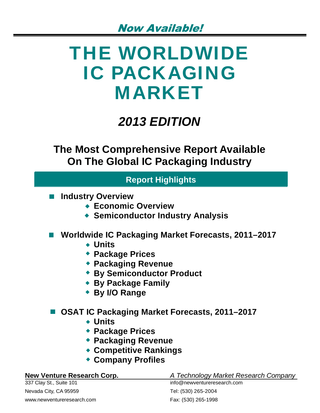# THE WORLDWIDE IC PACKAGING MARKET

## *2013 EDITION*

**The Most Comprehensive Report Available On The Global IC Packaging Industry**

### **Report Highlights**

- **Industry Overview**
	- **Economic Overview**
	- **Semiconductor Industry Analysis**
- Worldwide IC Packaging Market Forecasts, 2011–2017
	- **Units**
	- **Package Prices**
	- **Packaging Revenue**
	- **By Semiconductor Product**
	- **By Package Family**
	- **By I/O Range**

### ■ OSAT IC Packaging Market Forecasts, 2011–2017

- **Units**
- **Package Prices**
- **Packaging Revenue**
- **Competitive Rankings**
- **Company Profiles**

337 Clay St., Suite 101 info@newventureresearch.com Nevada City, CA 95959 Tel: (530) 265-2004 www.newventureresearch.com example and Fax: (530) 265-1998

#### **New Venture Research Corp.** *A Technology Market Research Company*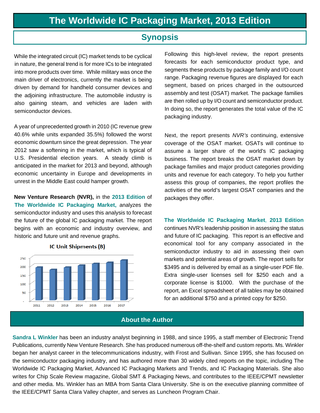#### **Synopsis**

While the integrated circuit (IC) market tends to be cyclical in nature, the general trend is for more ICs to be integrated into more products over time. While military was once the main driver of electronics, currently the market is being driven by demand for handheld consumer devices and the adjoining infrastructure. The automobile industry is also gaining steam, and vehicles are laden with semiconductor devices.

A year of unprecedented growth in 2010 (IC revenue grew 40.6% while units expanded 35.5%) followed the worst economic downturn since the great depression. The year 2012 saw a softening in the market, which is typical of U.S. Presidential election years. A steady climb is anticipated in the market for 2013 and beyond, although economic uncertainty in Europe and developments in unrest in the Middle East could hamper growth.

**New Venture Research (NVR),** in the **2013 Edition** of **The Worldwide IC Packaging Market,** analyzes the semiconductor industry and uses this analysis to forecast the future of the global IC packaging market. The report begins with an economic and industry overview, and historic and future unit and revenue graphs.



**IC Unit Shipments (B)** 

Following this high-level review, the report presents forecasts for each semiconductor product type, and segments these products by package family and I/O count range. Packaging revenue figures are displayed for each segment, based on prices charged in the outsourced assembly and test (OSAT) market. The package families are then rolled up by I/O count and semiconductor product. In doing so, the report generates the total value of the IC packaging industry.

Next, the report presents *NVR's* continuing, extensive coverage of the OSAT market. OSATs will continue to assume a larger share of the world's IC packaging business. The report breaks the OSAT market down by package families and major product categories providing units and revenue for each category. To help you further assess this group of companies, the report profiles the activities of the world's largest OSAT companies and the packages they offer.

**The Worldwide IC Packaging Market**, **2013 Edition** continues NVR's leadership position in assessing the status and future of IC packaging. This report is an effective and economical tool for any company associated in the semiconductor industry to aid in assessing their own markets and potential areas of growth. The report sells for \$3495 and is delivered by email as a single-user PDF file. Extra single-user licenses sell for \$250 each and a corporate license is \$1000. With the purchase of the report, an Excel spreadsheet of all tables may be obtained for an additional \$750 and a printed copy for \$250.

#### **About the Author**

**Sandra L Winkler** has been an industry analyst beginning in 1988, and since 1995, a staff member of Electronic Trend Publications, currently New Venture Research. She has produced numerous off-the-shelf and custom reports. Ms. Winkler began her analyst career in the telecommunications industry, with Frost and Sullivan. Since 1995, she has focused on the semiconductor packaging industry, and has authored more than 30 widely cited reports on the topic, including The Worldwide IC Packaging Market, Advanced IC Packaging Markets and Trends, and IC Packaging Materials. She also writes for Chip Scale Review magazine, Global SMT & Packaging News, and contributes to the IEEE/CPMT newsletter and other media. Ms. Winkler has an MBA from Santa Clara University. She is on the executive planning committee of the IEEE/CPMT Santa Clara Valley chapter, and serves as Luncheon Program Chair.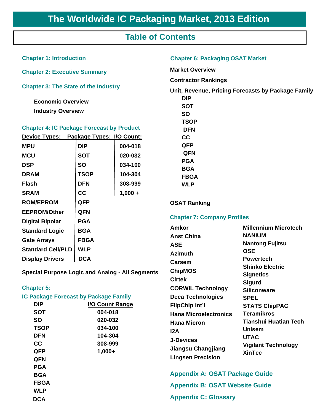#### **Table of Contents**

| <b>Chapter 1: Introduction</b>                                                                                                                                                                     |             |                                                   | <b>Chapter 6: Packaging OSAT Market</b>                                                                                        |                                              |  |
|----------------------------------------------------------------------------------------------------------------------------------------------------------------------------------------------------|-------------|---------------------------------------------------|--------------------------------------------------------------------------------------------------------------------------------|----------------------------------------------|--|
| <b>Chapter 2: Executive Summary</b>                                                                                                                                                                |             |                                                   | <b>Market Overview</b>                                                                                                         |                                              |  |
|                                                                                                                                                                                                    |             |                                                   | <b>Contractor Rankings</b>                                                                                                     |                                              |  |
| <b>Chapter 3: The State of the Industry</b><br><b>Economic Overview</b><br><b>Industry Overview</b><br><b>Chapter 4: IC Package Forecast by Product</b><br>Device Types: Package Types: I/O Count: |             |                                                   | Unit, Revenue, Pricing Forecasts by Package Family<br><b>DIP</b><br><b>SOT</b><br><b>SO</b><br><b>TSOP</b><br><b>DFN</b><br>cc |                                              |  |
|                                                                                                                                                                                                    |             |                                                   |                                                                                                                                |                                              |  |
| <b>MCU</b>                                                                                                                                                                                         | <b>SOT</b>  | 020-032                                           | <b>QFN</b>                                                                                                                     |                                              |  |
| <b>DSP</b>                                                                                                                                                                                         | <b>SO</b>   | 034-100                                           | <b>PGA</b><br><b>BGA</b>                                                                                                       |                                              |  |
| <b>DRAM</b>                                                                                                                                                                                        | <b>TSOP</b> | 104-304                                           | <b>FBGA</b>                                                                                                                    |                                              |  |
| <b>Flash</b>                                                                                                                                                                                       | <b>DFN</b>  | 308-999                                           | <b>WLP</b>                                                                                                                     |                                              |  |
| <b>SRAM</b>                                                                                                                                                                                        | cc          | $1,000 +$                                         |                                                                                                                                |                                              |  |
| <b>ROM/EPROM</b>                                                                                                                                                                                   | <b>QFP</b>  |                                                   | <b>OSAT Ranking</b>                                                                                                            |                                              |  |
| QFN<br><b>EEPROM/Other</b>                                                                                                                                                                         |             |                                                   |                                                                                                                                |                                              |  |
| <b>PGA</b><br><b>Digital Bipolar</b>                                                                                                                                                               |             | <b>Chapter 7: Company Profiles</b>                |                                                                                                                                |                                              |  |
| <b>Standard Logic</b>                                                                                                                                                                              | <b>BGA</b>  |                                                   | <b>Amkor</b>                                                                                                                   | <b>Millennium Microtech</b><br><b>NANIUM</b> |  |
| <b>Gate Arrays</b><br><b>FBGA</b>                                                                                                                                                                  |             | <b>Anst China</b><br><b>ASE</b><br><b>Azimuth</b> | <b>Nantong Fujitsu</b><br><b>OSE</b>                                                                                           |                                              |  |
| <b>Standard Cell/PLD</b><br><b>WLP</b>                                                                                                                                                             |             |                                                   |                                                                                                                                |                                              |  |
| <b>DCA</b><br><b>Display Drivers</b>                                                                                                                                                               |             |                                                   | <b>Powertech</b><br><b>Carsem</b>                                                                                              |                                              |  |
| <b>Special Purpose Logic and Analog - All Segments</b>                                                                                                                                             |             |                                                   | <b>ChipMOS</b>                                                                                                                 | <b>Shinko Electric</b>                       |  |
|                                                                                                                                                                                                    |             |                                                   | <b>Cirtek</b>                                                                                                                  | <b>Signetics</b>                             |  |

**CORWIL Technology**

**Sigurd Siliconware**

**STATS ChipPAC Teramikros**

**Tianshui Huatian Tech**

**Vigilant Technology**

#### **Chapter 5:**

|                                                                                        | <b>IC Package Forecast by Package Family</b>                                       | <b>Deca Technologies</b>                                                                                                                                 | <b>SPEL</b>                                                                                                                          |  |
|----------------------------------------------------------------------------------------|------------------------------------------------------------------------------------|----------------------------------------------------------------------------------------------------------------------------------------------------------|--------------------------------------------------------------------------------------------------------------------------------------|--|
| <b>DIP</b><br><b>SOT</b><br><b>SO</b><br><b>TSOP</b><br><b>DFN</b><br>cc<br><b>QFP</b> | I/O Count Range<br>004-018<br>020-032<br>034-100<br>104-304<br>308-999<br>$1,000+$ | <b>FlipChip Int'l</b><br><b>Hana Microelectronics</b><br><b>Hana Micron</b><br>I2A<br><b>J-Devices</b><br>Jiangsu Changjiang<br><b>Lingsen Precision</b> | <b>STATS Chip</b><br><b>Teramikros</b><br><b>Tianshui Hy</b><br><b>Unisem</b><br><b>UTAC</b><br><b>Vigilant Ter</b><br><b>XinTec</b> |  |
| <b>QFN</b><br><b>PGA</b><br><b>BGA</b><br><b>FBGA</b><br><b>WLP</b><br><b>DCA</b>      |                                                                                    | <b>Appendix A: OSAT Package Guide</b><br><b>Appendix B: OSAT Website Guide</b><br><b>Appendix C: Glossary</b>                                            |                                                                                                                                      |  |